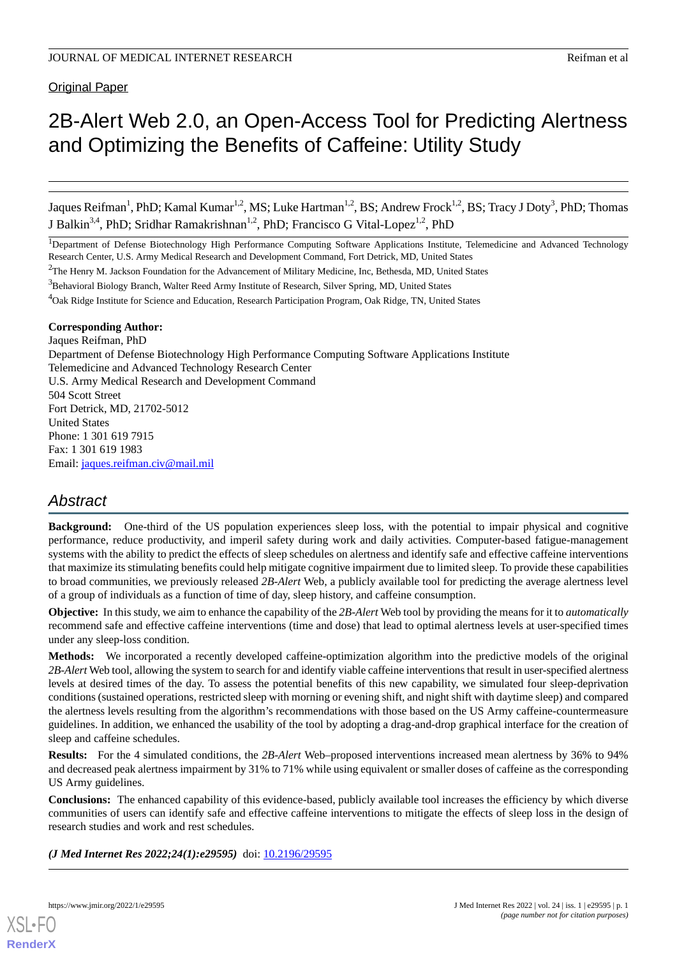#### Original Paper

# 2B-Alert Web 2.0, an Open-Access Tool for Predicting Alertness and Optimizing the Benefits of Caffeine: Utility Study

Jaques Reifman<sup>1</sup>, PhD; Kamal Kumar<sup>1,2</sup>, MS; Luke Hartman<sup>1,2</sup>, BS; Andrew Frock<sup>1,2</sup>, BS; Tracy J Doty<sup>3</sup>, PhD; Thomas J Balkin<sup>3,4</sup>, PhD; Sridhar Ramakrishnan<sup>1,2</sup>, PhD; Francisco G Vital-Lopez<sup>1,2</sup>, PhD

<sup>1</sup>Department of Defense Biotechnology High Performance Computing Software Applications Institute, Telemedicine and Advanced Technology Research Center, U.S. Army Medical Research and Development Command, Fort Detrick, MD, United States

<sup>2</sup>The Henry M. Jackson Foundation for the Advancement of Military Medicine, Inc, Bethesda, MD, United States

<sup>3</sup>Behavioral Biology Branch, Walter Reed Army Institute of Research, Silver Spring, MD, United States

<sup>4</sup>Oak Ridge Institute for Science and Education, Research Participation Program, Oak Ridge, TN, United States

#### **Corresponding Author:**

Jaques Reifman, PhD Department of Defense Biotechnology High Performance Computing Software Applications Institute Telemedicine and Advanced Technology Research Center U.S. Army Medical Research and Development Command 504 Scott Street Fort Detrick, MD, 21702-5012 United States Phone: 1 301 619 7915 Fax: 1 301 619 1983 Email: [jaques.reifman.civ@mail.mil](mailto:jaques.reifman.civ@mail.mil)

# *Abstract*

**Background:** One-third of the US population experiences sleep loss, with the potential to impair physical and cognitive performance, reduce productivity, and imperil safety during work and daily activities. Computer-based fatigue-management systems with the ability to predict the effects of sleep schedules on alertness and identify safe and effective caffeine interventions that maximize its stimulating benefits could help mitigate cognitive impairment due to limited sleep. To provide these capabilities to broad communities, we previously released *2B-Alert* Web, a publicly available tool for predicting the average alertness level of a group of individuals as a function of time of day, sleep history, and caffeine consumption.

**Objective:** In this study, we aim to enhance the capability of the *2B-Alert* Web tool by providing the means for it to *automatically* recommend safe and effective caffeine interventions (time and dose) that lead to optimal alertness levels at user-specified times under any sleep-loss condition.

**Methods:** We incorporated a recently developed caffeine-optimization algorithm into the predictive models of the original *2B-Alert* Web tool, allowing the system to search for and identify viable caffeine interventions that result in user-specified alertness levels at desired times of the day. To assess the potential benefits of this new capability, we simulated four sleep-deprivation conditions (sustained operations, restricted sleep with morning or evening shift, and night shift with daytime sleep) and compared the alertness levels resulting from the algorithm's recommendations with those based on the US Army caffeine-countermeasure guidelines. In addition, we enhanced the usability of the tool by adopting a drag-and-drop graphical interface for the creation of sleep and caffeine schedules.

**Results:** For the 4 simulated conditions, the *2B-Alert* Web–proposed interventions increased mean alertness by 36% to 94% and decreased peak alertness impairment by 31% to 71% while using equivalent or smaller doses of caffeine as the corresponding US Army guidelines.

**Conclusions:** The enhanced capability of this evidence-based, publicly available tool increases the efficiency by which diverse communities of users can identify safe and effective caffeine interventions to mitigate the effects of sleep loss in the design of research studies and work and rest schedules.

*(J Med Internet Res 2022;24(1):e29595)* doi: [10.2196/29595](http://dx.doi.org/10.2196/29595)

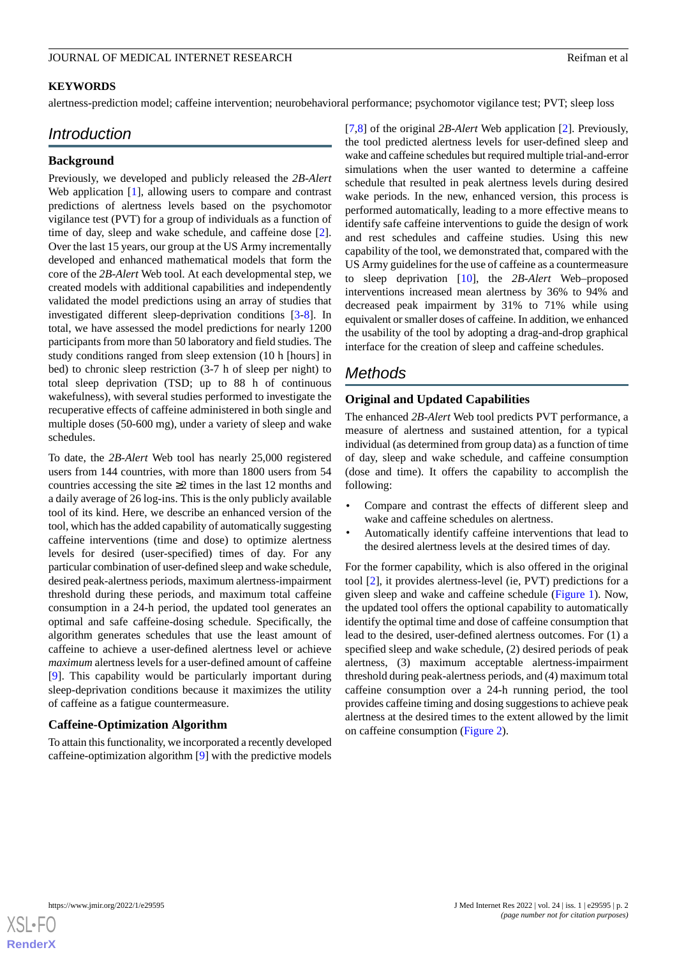#### **KEYWORDS**

alertness-prediction model; caffeine intervention; neurobehavioral performance; psychomotor vigilance test; PVT; sleep loss

## *Introduction*

#### **Background**

Previously, we developed and publicly released the *2B-Alert* Web application [[1\]](#page-8-0), allowing users to compare and contrast predictions of alertness levels based on the psychomotor vigilance test (PVT) for a group of individuals as a function of time of day, sleep and wake schedule, and caffeine dose [[2\]](#page-8-1). Over the last 15 years, our group at the US Army incrementally developed and enhanced mathematical models that form the core of the *2B-Alert* Web tool. At each developmental step, we created models with additional capabilities and independently validated the model predictions using an array of studies that investigated different sleep-deprivation conditions [[3](#page-9-0)[-8](#page-9-1)]. In total, we have assessed the model predictions for nearly 1200 participants from more than 50 laboratory and field studies. The study conditions ranged from sleep extension (10 h [hours] in bed) to chronic sleep restriction (3-7 h of sleep per night) to total sleep deprivation (TSD; up to 88 h of continuous wakefulness), with several studies performed to investigate the recuperative effects of caffeine administered in both single and multiple doses (50-600 mg), under a variety of sleep and wake schedules.

To date, the *2B-Alert* Web tool has nearly 25,000 registered users from 144 countries, with more than 1800 users from 54 countries accessing the site ≥2 times in the last 12 months and a daily average of 26 log-ins. This is the only publicly available tool of its kind. Here, we describe an enhanced version of the tool, which has the added capability of automatically suggesting caffeine interventions (time and dose) to optimize alertness levels for desired (user-specified) times of day. For any particular combination of user-defined sleep and wake schedule, desired peak-alertness periods, maximum alertness-impairment threshold during these periods, and maximum total caffeine consumption in a 24-h period, the updated tool generates an optimal and safe caffeine-dosing schedule. Specifically, the algorithm generates schedules that use the least amount of caffeine to achieve a user-defined alertness level or achieve *maximum* alertness levels for a user-defined amount of caffeine [[9\]](#page-9-2). This capability would be particularly important during sleep-deprivation conditions because it maximizes the utility of caffeine as a fatigue countermeasure.

#### **Caffeine-Optimization Algorithm**

To attain this functionality, we incorporated a recently developed caffeine-optimization algorithm [\[9](#page-9-2)] with the predictive models [[7](#page-9-3)[,8\]](#page-9-1) of the original *2B-Alert* Web application [[2\]](#page-8-1). Previously, the tool predicted alertness levels for user-defined sleep and wake and caffeine schedules but required multiple trial-and-error simulations when the user wanted to determine a caffeine schedule that resulted in peak alertness levels during desired wake periods. In the new, enhanced version, this process is performed automatically, leading to a more effective means to identify safe caffeine interventions to guide the design of work and rest schedules and caffeine studies. Using this new capability of the tool, we demonstrated that, compared with the US Army guidelines for the use of caffeine as a countermeasure to sleep deprivation [\[10](#page-9-4)], the *2B-Alert* Web–proposed interventions increased mean alertness by 36% to 94% and decreased peak impairment by 31% to 71% while using equivalent or smaller doses of caffeine. In addition, we enhanced the usability of the tool by adopting a drag-and-drop graphical interface for the creation of sleep and caffeine schedules.

# *Methods*

#### **Original and Updated Capabilities**

The enhanced *2B-Alert* Web tool predicts PVT performance, a measure of alertness and sustained attention, for a typical individual (as determined from group data) as a function of time of day, sleep and wake schedule, and caffeine consumption (dose and time). It offers the capability to accomplish the following:

- Compare and contrast the effects of different sleep and wake and caffeine schedules on alertness.
- Automatically identify caffeine interventions that lead to the desired alertness levels at the desired times of day.

For the former capability, which is also offered in the original tool [[2](#page-8-1)], it provides alertness-level (ie, PVT) predictions for a given sleep and wake and caffeine schedule [\(Figure 1\)](#page-2-0). Now, the updated tool offers the optional capability to automatically identify the optimal time and dose of caffeine consumption that lead to the desired, user-defined alertness outcomes. For (1) a specified sleep and wake schedule, (2) desired periods of peak alertness, (3) maximum acceptable alertness-impairment threshold during peak-alertness periods, and (4) maximum total caffeine consumption over a 24-h running period, the tool provides caffeine timing and dosing suggestions to achieve peak alertness at the desired times to the extent allowed by the limit on caffeine consumption [\(Figure 2\)](#page-2-1).

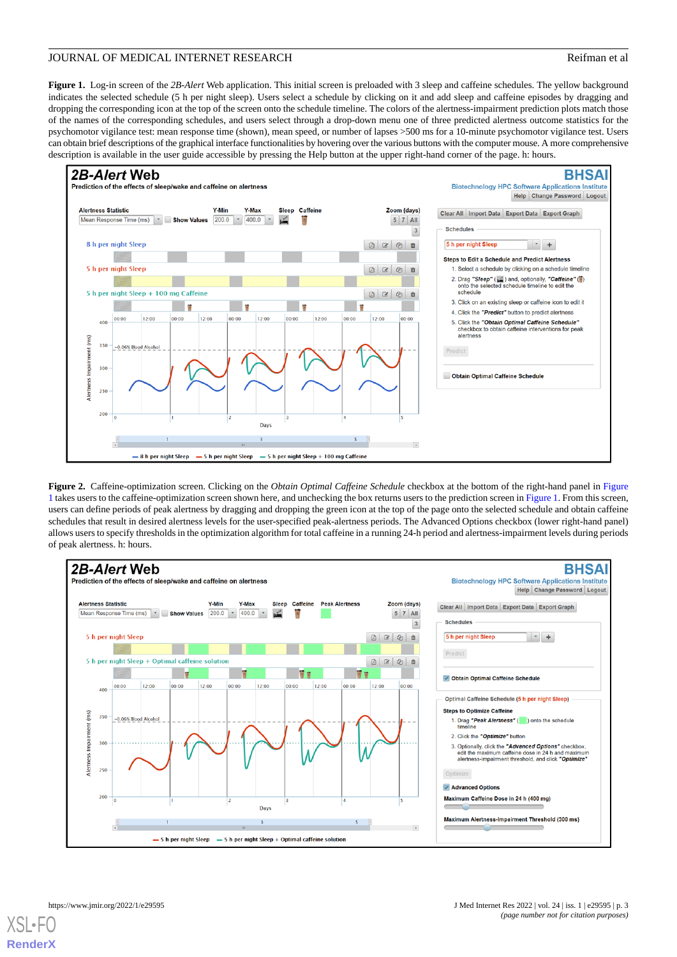<span id="page-2-0"></span>**Figure 1.** Log-in screen of the *2B-Alert* Web application. This initial screen is preloaded with 3 sleep and caffeine schedules. The yellow background indicates the selected schedule (5 h per night sleep). Users select a schedule by clicking on it and add sleep and caffeine episodes by dragging and dropping the corresponding icon at the top of the screen onto the schedule timeline. The colors of the alertness-impairment prediction plots match those of the names of the corresponding schedules, and users select through a drop-down menu one of three predicted alertness outcome statistics for the psychomotor vigilance test: mean response time (shown), mean speed, or number of lapses >500 ms for a 10-minute psychomotor vigilance test. Users can obtain brief descriptions of the graphical interface functionalities by hovering over the various buttons with the computer mouse. A more comprehensive description is available in the user guide accessible by pressing the Help button at the upper right-hand corner of the page. h: hours.





<span id="page-2-1"></span>**Figure 2.** Caffeine-optimization screen. Clicking on the *Obtain Optimal Caffeine Schedule* checkbox at the bottom of the right-hand panel in [Figure](#page-2-0) [1](#page-2-0) takes users to the caffeine-optimization screen shown here, and unchecking the box returns users to the prediction screen in [Figure 1.](#page-2-0) From this screen, users can define periods of peak alertness by dragging and dropping the green icon at the top of the page onto the selected schedule and obtain caffeine schedules that result in desired alertness levels for the user-specified peak-alertness periods. The Advanced Options checkbox (lower right-hand panel) allows users to specify thresholds in the optimization algorithm for total caffeine in a running 24-h period and alertness-impairment levels during periods of peak alertness. h: hours.



 $XS$  • FO **[RenderX](http://www.renderx.com/)**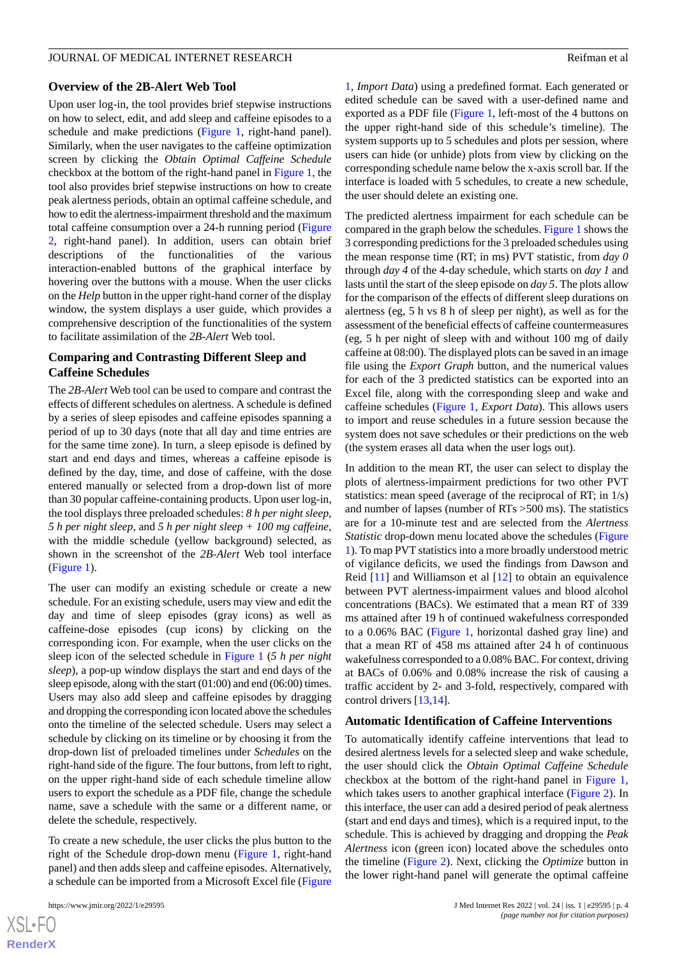# **Overview of the 2B-Alert Web Tool**

Upon user log-in, the tool provides brief stepwise instructions on how to select, edit, and add sleep and caffeine episodes to a schedule and make predictions [\(Figure 1](#page-2-0), right-hand panel). Similarly, when the user navigates to the caffeine optimization screen by clicking the *Obtain Optimal Caffeine Schedule* checkbox at the bottom of the right-hand panel in [Figure 1,](#page-2-0) the tool also provides brief stepwise instructions on how to create peak alertness periods, obtain an optimal caffeine schedule, and how to edit the alertness-impairment threshold and the maximum total caffeine consumption over a 24-h running period ([Figure](#page-2-1) [2,](#page-2-1) right-hand panel). In addition, users can obtain brief descriptions of the functionalities of the various interaction-enabled buttons of the graphical interface by hovering over the buttons with a mouse. When the user clicks on the *Help* button in the upper right-hand corner of the display window, the system displays a user guide, which provides a comprehensive description of the functionalities of the system to facilitate assimilation of the *2B-Alert* Web tool.

#### **Comparing and Contrasting Different Sleep and Caffeine Schedules**

The *2B-Alert* Web tool can be used to compare and contrast the effects of different schedules on alertness. A schedule is defined by a series of sleep episodes and caffeine episodes spanning a period of up to 30 days (note that all day and time entries are for the same time zone). In turn, a sleep episode is defined by start and end days and times, whereas a caffeine episode is defined by the day, time, and dose of caffeine, with the dose entered manually or selected from a drop-down list of more than 30 popular caffeine-containing products. Upon user log-in, the tool displays three preloaded schedules: *8 h per night sleep*, *5 h per night sleep*, and *5 h per night sleep + 100 mg caffeine*, with the middle schedule (yellow background) selected, as shown in the screenshot of the *2B-Alert* Web tool interface ([Figure 1\)](#page-2-0).

The user can modify an existing schedule or create a new schedule. For an existing schedule, users may view and edit the day and time of sleep episodes (gray icons) as well as caffeine-dose episodes (cup icons) by clicking on the corresponding icon. For example, when the user clicks on the sleep icon of the selected schedule in [Figure 1](#page-2-0) (*5 h per night sleep*), a pop-up window displays the start and end days of the sleep episode, along with the start (01:00) and end (06:00) times. Users may also add sleep and caffeine episodes by dragging and dropping the corresponding icon located above the schedules onto the timeline of the selected schedule. Users may select a schedule by clicking on its timeline or by choosing it from the drop-down list of preloaded timelines under *Schedules* on the right-hand side of the figure. The four buttons, from left to right, on the upper right-hand side of each schedule timeline allow users to export the schedule as a PDF file, change the schedule name, save a schedule with the same or a different name, or delete the schedule, respectively.

To create a new schedule, the user clicks the plus button to the right of the Schedule drop-down menu [\(Figure 1,](#page-2-0) right-hand panel) and then adds sleep and caffeine episodes. Alternatively, a schedule can be imported from a Microsoft Excel file ([Figure](#page-2-0)

[XSL](http://www.w3.org/Style/XSL)•FO **[RenderX](http://www.renderx.com/)** [1,](#page-2-0) *Import Data*) using a predefined format. Each generated or edited schedule can be saved with a user-defined name and exported as a PDF file ([Figure 1](#page-2-0), left-most of the 4 buttons on the upper right-hand side of this schedule's timeline). The system supports up to 5 schedules and plots per session, where users can hide (or unhide) plots from view by clicking on the corresponding schedule name below the x-axis scroll bar. If the interface is loaded with 5 schedules, to create a new schedule, the user should delete an existing one.

The predicted alertness impairment for each schedule can be compared in the graph below the schedules. [Figure 1](#page-2-0) shows the 3 corresponding predictions for the 3 preloaded schedules using the mean response time (RT; in ms) PVT statistic, from *day 0* through *day 4* of the 4-day schedule, which starts on *day 1* and lasts until the start of the sleep episode on *day 5*. The plots allow for the comparison of the effects of different sleep durations on alertness (eg, 5 h vs 8 h of sleep per night), as well as for the assessment of the beneficial effects of caffeine countermeasures (eg, 5 h per night of sleep with and without 100 mg of daily caffeine at 08:00). The displayed plots can be saved in an image file using the *Export Graph* button, and the numerical values for each of the 3 predicted statistics can be exported into an Excel file, along with the corresponding sleep and wake and caffeine schedules ([Figure 1,](#page-2-0) *Export Data*). This allows users to import and reuse schedules in a future session because the system does not save schedules or their predictions on the web (the system erases all data when the user logs out).

In addition to the mean RT, the user can select to display the plots of alertness-impairment predictions for two other PVT statistics: mean speed (average of the reciprocal of RT; in 1/s) and number of lapses (number of RTs >500 ms). The statistics are for a 10-minute test and are selected from the *Alertness Statistic* drop-down menu located above the schedules ([Figure](#page-2-0) [1\)](#page-2-0). To map PVT statistics into a more broadly understood metric of vigilance deficits, we used the findings from Dawson and Reid [\[11](#page-9-5)] and Williamson et al [\[12](#page-9-6)] to obtain an equivalence between PVT alertness-impairment values and blood alcohol concentrations (BACs). We estimated that a mean RT of 339 ms attained after 19 h of continued wakefulness corresponded to a 0.06% BAC [\(Figure 1,](#page-2-0) horizontal dashed gray line) and that a mean RT of 458 ms attained after 24 h of continuous wakefulness corresponded to a 0.08% BAC. For context, driving at BACs of 0.06% and 0.08% increase the risk of causing a traffic accident by 2- and 3-fold, respectively, compared with control drivers [[13,](#page-9-7)[14](#page-9-8)].

### **Automatic Identification of Caffeine Interventions**

To automatically identify caffeine interventions that lead to desired alertness levels for a selected sleep and wake schedule, the user should click the *Obtain Optimal Caffeine Schedule* checkbox at the bottom of the right-hand panel in [Figure 1](#page-2-0), which takes users to another graphical interface ([Figure 2\)](#page-2-1). In this interface, the user can add a desired period of peak alertness (start and end days and times), which is a required input, to the schedule. This is achieved by dragging and dropping the *Peak Alertness* icon (green icon) located above the schedules onto the timeline [\(Figure 2](#page-2-1)). Next, clicking the *Optimize* button in the lower right-hand panel will generate the optimal caffeine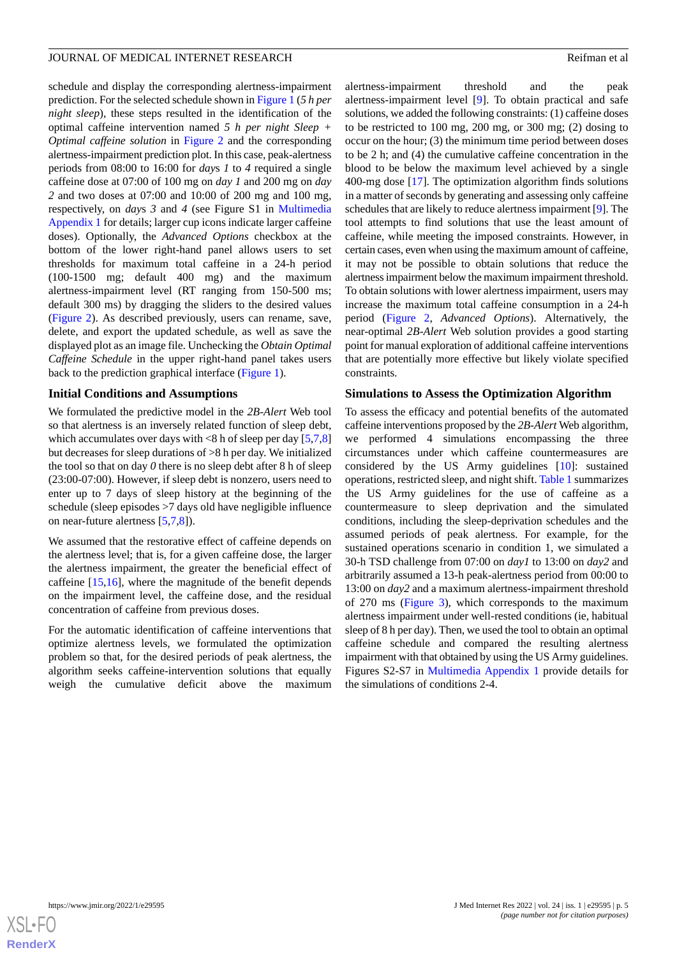schedule and display the corresponding alertness-impairment prediction. For the selected schedule shown in [Figure 1](#page-2-0) (*5 h per night sleep*), these steps resulted in the identification of the optimal caffeine intervention named *5 h per night Sleep + Optimal caffeine solution* in [Figure 2](#page-2-1) and the corresponding alertness-impairment prediction plot. In this case, peak-alertness periods from 08:00 to 16:00 for *day*s *1* to *4* required a single caffeine dose at 07:00 of 100 mg on *day 1* and 200 mg on *day 2* and two doses at 07:00 and 10:00 of 200 mg and 100 mg, respectively, on *day*s *3* and *4* (see Figure S1 in [Multimedia](#page-8-2) [Appendix 1](#page-8-2) for details; larger cup icons indicate larger caffeine doses). Optionally, the *Advanced Options* checkbox at the bottom of the lower right-hand panel allows users to set thresholds for maximum total caffeine in a 24-h period (100-1500 mg; default 400 mg) and the maximum alertness-impairment level (RT ranging from 150-500 ms; default 300 ms) by dragging the sliders to the desired values ([Figure 2\)](#page-2-1). As described previously, users can rename, save, delete, and export the updated schedule, as well as save the displayed plot as an image file. Unchecking the *Obtain Optimal Caffeine Schedule* in the upper right-hand panel takes users back to the prediction graphical interface [\(Figure 1\)](#page-2-0).

#### **Initial Conditions and Assumptions**

We formulated the predictive model in the *2B-Alert* Web tool so that alertness is an inversely related function of sleep debt, which accumulates over days with  $\leq 8$  h of sleep per day [\[5](#page-9-9),[7](#page-9-3)[,8](#page-9-1)] but decreases for sleep durations of >8 h per day. We initialized the tool so that on day *0* there is no sleep debt after 8 h of sleep (23:00-07:00). However, if sleep debt is nonzero, users need to enter up to 7 days of sleep history at the beginning of the schedule (sleep episodes >7 days old have negligible influence on near-future alertness [[5,](#page-9-9)[7](#page-9-3),[8\]](#page-9-1)).

We assumed that the restorative effect of caffeine depends on the alertness level; that is, for a given caffeine dose, the larger the alertness impairment, the greater the beneficial effect of caffeine [\[15](#page-9-10),[16\]](#page-9-11), where the magnitude of the benefit depends on the impairment level, the caffeine dose, and the residual concentration of caffeine from previous doses.

For the automatic identification of caffeine interventions that optimize alertness levels, we formulated the optimization problem so that, for the desired periods of peak alertness, the algorithm seeks caffeine-intervention solutions that equally weigh the cumulative deficit above the maximum

alertness-impairment threshold and the peak alertness-impairment level [\[9](#page-9-2)]. To obtain practical and safe solutions, we added the following constraints: (1) caffeine doses to be restricted to 100 mg, 200 mg, or 300 mg; (2) dosing to occur on the hour; (3) the minimum time period between doses to be 2 h; and (4) the cumulative caffeine concentration in the blood to be below the maximum level achieved by a single 400-mg dose [\[17](#page-9-12)]. The optimization algorithm finds solutions in a matter of seconds by generating and assessing only caffeine schedules that are likely to reduce alertness impairment [[9\]](#page-9-2). The tool attempts to find solutions that use the least amount of caffeine, while meeting the imposed constraints. However, in certain cases, even when using the maximum amount of caffeine, it may not be possible to obtain solutions that reduce the alertness impairment below the maximum impairment threshold. To obtain solutions with lower alertness impairment, users may increase the maximum total caffeine consumption in a 24-h period ([Figure 2](#page-2-1), *Advanced Options*). Alternatively, the near-optimal *2B-Alert* Web solution provides a good starting point for manual exploration of additional caffeine interventions that are potentially more effective but likely violate specified constraints.

#### **Simulations to Assess the Optimization Algorithm**

To assess the efficacy and potential benefits of the automated caffeine interventions proposed by the *2B-Alert* Web algorithm, we performed 4 simulations encompassing the three circumstances under which caffeine countermeasures are considered by the US Army guidelines [\[10](#page-9-4)]: sustained operations, restricted sleep, and night shift. [Table 1](#page-5-0) summarizes the US Army guidelines for the use of caffeine as a countermeasure to sleep deprivation and the simulated conditions, including the sleep-deprivation schedules and the assumed periods of peak alertness. For example, for the sustained operations scenario in condition 1, we simulated a 30-h TSD challenge from 07:00 on *day1* to 13:00 on *day2* and arbitrarily assumed a 13-h peak-alertness period from 00:00 to 13:00 on *day2* and a maximum alertness-impairment threshold of 270 ms ([Figure 3](#page-5-1)), which corresponds to the maximum alertness impairment under well-rested conditions (ie, habitual sleep of 8 h per day). Then, we used the tool to obtain an optimal caffeine schedule and compared the resulting alertness impairment with that obtained by using the US Army guidelines. Figures S2-S7 in [Multimedia Appendix 1](#page-8-2) provide details for the simulations of conditions 2-4.

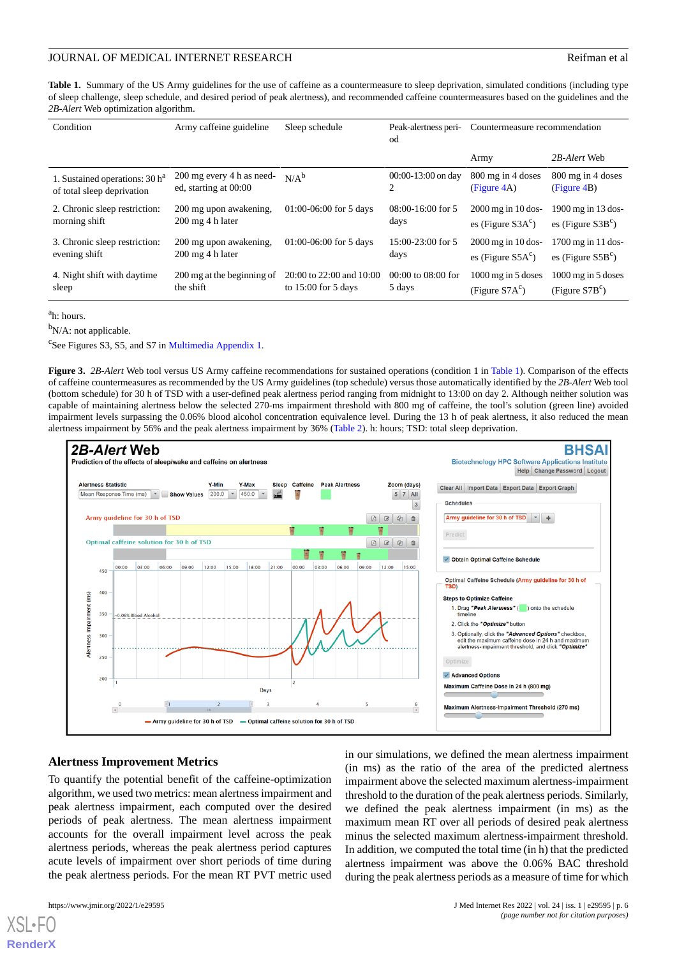<span id="page-5-0"></span>Table 1. Summary of the US Army guidelines for the use of caffeine as a countermeasure to sleep deprivation, simulated conditions (including type of sleep challenge, sleep schedule, and desired period of peak alertness), and recommended caffeine countermeasures based on the guidelines and the *2B-Alert* Web optimization algorithm.

| Condition                        | Army caffeine guideline             | Sleep schedule           | Peak-alertness peri-<br>od | Countermeasure recommendation |                            |
|----------------------------------|-------------------------------------|--------------------------|----------------------------|-------------------------------|----------------------------|
|                                  |                                     |                          |                            | Army                          | 2B-Alert Web               |
| 1. Sustained operations: $30 ha$ | 200 mg every 4 h as need-           | $N/A^b$                  | $00:00-13:00$ on day       | 800 mg in 4 doses             | 800 mg in 4 doses          |
| of total sleep deprivation       | ed, starting at 00:00               |                          | 2                          | (Figure 4A)                   | (Figure 4B)                |
| 2. Chronic sleep restriction:    | 200 mg upon awakening.              | $01:00-06:00$ for 5 days | $08:00-16:00$ for 5        | $2000$ mg in 10 dos-          | $1900$ mg in 13 dos-       |
| morning shift                    | $200 \text{ mg } 4 \text{ h}$ later |                          | days                       | es (Figure $S3A^c$ )          | es (Figure $S3B^c$ )       |
| 3. Chronic sleep restriction:    | 200 mg upon awakening,              | $01:00-06:00$ for 5 days | $15:00-23:00$ for 5        | $2000$ mg in 10 dos-          | $1700$ mg in 11 dos-       |
| evening shift                    | $200 \text{ mg } 4 \text{ h}$ later |                          | days                       | es (Figure $S5Ac$ )           | es (Figure $S5B^c$ )       |
| 4. Night shift with daytime      | 200 mg at the beginning of          | 20:00 to 22:00 and 10:00 | $00:00$ to $08:00$ for     | $1000$ mg in 5 doses          | $1000$ mg in 5 doses       |
| sleep                            | the shift                           | to $15:00$ for 5 days    | 5 days                     | (Figure $S7Ac$ )              | (Figure S7B <sup>c</sup> ) |

<sup>a</sup>h: hours.

<span id="page-5-1"></span><sup>b</sup>N/A: not applicable.

<sup>c</sup>See Figures S3, S5, and S7 in [Multimedia Appendix 1](#page-8-2).

**Figure 3.** *2B-Alert* Web tool versus US Army caffeine recommendations for sustained operations (condition 1 in [Table 1](#page-5-0)). Comparison of the effects of caffeine countermeasures as recommended by the US Army guidelines (top schedule) versus those automatically identified by the *2B-Alert* Web tool (bottom schedule) for 30 h of TSD with a user-defined peak alertness period ranging from midnight to 13:00 on day 2. Although neither solution was capable of maintaining alertness below the selected 270-ms impairment threshold with 800 mg of caffeine, the tool's solution (green line) avoided impairment levels surpassing the 0.06% blood alcohol concentration equivalence level. During the 13 h of peak alertness, it also reduced the mean alertness impairment by 56% and the peak alertness impairment by 36% ([Table 2](#page-7-0)). h: hours; TSD: total sleep deprivation.



#### **Alertness Improvement Metrics**

To quantify the potential benefit of the caffeine-optimization algorithm, we used two metrics: mean alertness impairment and peak alertness impairment, each computed over the desired periods of peak alertness. The mean alertness impairment accounts for the overall impairment level across the peak alertness periods, whereas the peak alertness period captures acute levels of impairment over short periods of time during the peak alertness periods. For the mean RT PVT metric used

in our simulations, we defined the mean alertness impairment (in ms) as the ratio of the area of the predicted alertness impairment above the selected maximum alertness-impairment threshold to the duration of the peak alertness periods. Similarly, we defined the peak alertness impairment (in ms) as the maximum mean RT over all periods of desired peak alertness minus the selected maximum alertness-impairment threshold. In addition, we computed the total time (in h) that the predicted alertness impairment was above the 0.06% BAC threshold during the peak alertness periods as a measure of time for which



[XSL](http://www.w3.org/Style/XSL)•FO **[RenderX](http://www.renderx.com/)**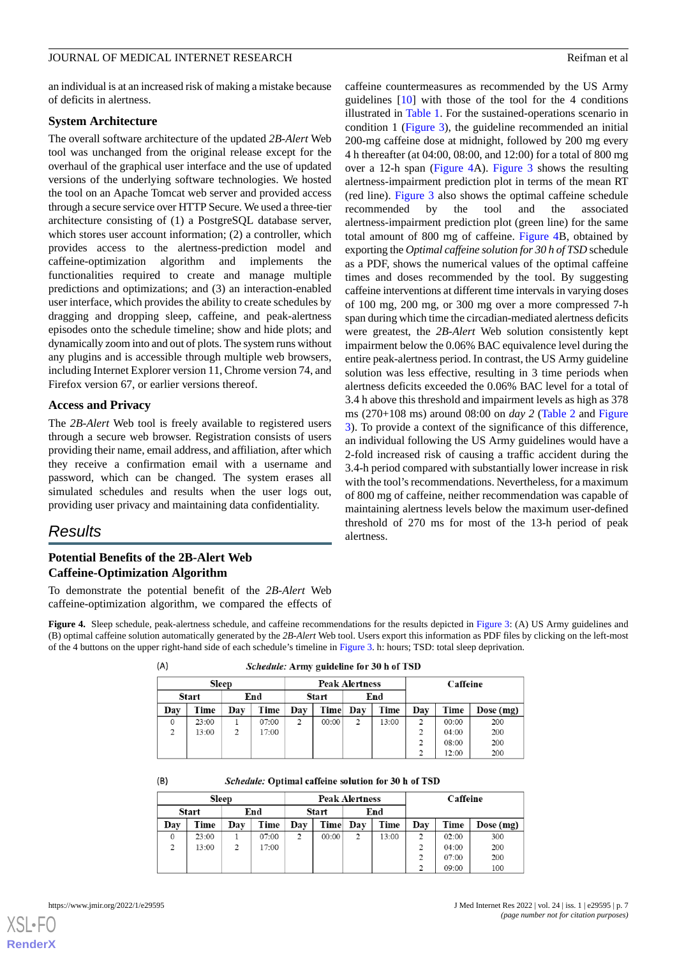an individual is at an increased risk of making a mistake because of deficits in alertness.

#### **System Architecture**

The overall software architecture of the updated *2B-Alert* Web tool was unchanged from the original release except for the overhaul of the graphical user interface and the use of updated versions of the underlying software technologies. We hosted the tool on an Apache Tomcat web server and provided access through a secure service over HTTP Secure. We used a three-tier architecture consisting of (1) a PostgreSQL database server, which stores user account information; (2) a controller, which provides access to the alertness-prediction model and caffeine-optimization algorithm and implements the functionalities required to create and manage multiple predictions and optimizations; and (3) an interaction-enabled user interface, which provides the ability to create schedules by dragging and dropping sleep, caffeine, and peak-alertness episodes onto the schedule timeline; show and hide plots; and dynamically zoom into and out of plots. The system runs without any plugins and is accessible through multiple web browsers, including Internet Explorer version 11, Chrome version 74, and Firefox version 67, or earlier versions thereof.

#### **Access and Privacy**

The *2B-Alert* Web tool is freely available to registered users through a secure web browser. Registration consists of users providing their name, email address, and affiliation, after which they receive a confirmation email with a username and password, which can be changed. The system erases all simulated schedules and results when the user logs out, providing user privacy and maintaining data confidentiality.

#### *Results*

#### <span id="page-6-0"></span>**Potential Benefits of the 2B-Alert Web Caffeine-Optimization Algorithm**

 $(B)$ 

To demonstrate the potential benefit of the *2B-Alert* Web caffeine-optimization algorithm, we compared the effects of

**Figure 4.** Sleep schedule, peak-alertness schedule, and caffeine recommendations for the results depicted in [Figure 3](#page-5-1): (A) US Army guidelines and (B) optimal caffeine solution automatically generated by the *2B-Alert* Web tool. Users export this information as PDF files by clicking on the left-most of the 4 buttons on the upper right-hand side of each schedule's timeline in [Figure 3](#page-5-1). h: hours; TSD: total sleep deprivation.

| <i>Schedule:</i> Army guideline for 30 h of 1SD |       |                       |          |  |  |  |  |  |
|-------------------------------------------------|-------|-----------------------|----------|--|--|--|--|--|
|                                                 | Sleep | <b>Peak Alertness</b> | Caffeine |  |  |  |  |  |
| Start                                           | End   | Start<br>End          |          |  |  |  |  |  |

| End<br>Start |       | Start |       | End         |       |               |       |     |       |           |
|--------------|-------|-------|-------|-------------|-------|---------------|-------|-----|-------|-----------|
| Dav          | Time  | Dav   | Time  | $\bf{D}$ av | Time  | <b>Day</b>    | Time  | Dav | Time  | Dose (mg) |
|              | 23:00 |       | 07:00 | ∍           | 00:00 | $\mathcal{L}$ | 13:00 | C   | 00:00 | 200       |
|              | 13:00 |       | 17:00 |             |       |               |       |     | 04:00 | 200       |
|              |       |       |       |             |       |               |       |     | 08:00 | 200       |
|              |       |       |       |             |       |               |       |     | 12:00 | 200       |

#### Schedule: Optimal caffeine solution for 30 h of TSD

| <b>Sleep</b> |              |     | <b>Peak Alertness</b> |     |       |     | Caffeine |     |       |           |
|--------------|--------------|-----|-----------------------|-----|-------|-----|----------|-----|-------|-----------|
|              | <b>Start</b> |     | End                   |     | Start | End |          |     |       |           |
| Dav          | Time         | Day | Time                  | Day | Time  | Day | Time     | Dav | Time  | Dose (mg) |
| $\Omega$     | 23:00        |     | 07:00                 | 2   | 00:00 | 2   | 13:00    | 2   | 02:00 | 300       |
| 2            | 13:00        | 2   | 17:00                 |     |       |     |          | 2   | 04:00 | 200       |
|              |              |     |                       |     |       |     |          | 2   | 07:00 | 200       |
|              |              |     |                       |     |       |     |          | 2   | 09:00 | 100       |

[XSL](http://www.w3.org/Style/XSL)•FO **[RenderX](http://www.renderx.com/)**

caffeine countermeasures as recommended by the US Army guidelines [[10\]](#page-9-4) with those of the tool for the 4 conditions illustrated in [Table 1.](#page-5-0) For the sustained-operations scenario in condition 1 [\(Figure 3](#page-5-1)), the guideline recommended an initial 200-mg caffeine dose at midnight, followed by 200 mg every 4 h thereafter (at 04:00, 08:00, and 12:00) for a total of 800 mg over a 12-h span ([Figure 4A](#page-6-0)). [Figure 3](#page-5-1) shows the resulting alertness-impairment prediction plot in terms of the mean RT (red line). [Figure 3](#page-5-1) also shows the optimal caffeine schedule recommended by the tool and the associated alertness-impairment prediction plot (green line) for the same total amount of 800 mg of caffeine. [Figure 4B](#page-6-0), obtained by exporting the *Optimal caffeine solution for 30 h of TSD* schedule as a PDF, shows the numerical values of the optimal caffeine times and doses recommended by the tool. By suggesting caffeine interventions at different time intervals in varying doses of 100 mg, 200 mg, or 300 mg over a more compressed 7-h span during which time the circadian-mediated alertness deficits were greatest, the *2B-Alert* Web solution consistently kept impairment below the 0.06% BAC equivalence level during the entire peak-alertness period. In contrast, the US Army guideline solution was less effective, resulting in 3 time periods when alertness deficits exceeded the 0.06% BAC level for a total of 3.4 h above this threshold and impairment levels as high as 378 ms (270+108 ms) around 08:00 on *day 2* [\(Table 2](#page-7-0) and [Figure](#page-5-1) [3\)](#page-5-1). To provide a context of the significance of this difference, an individual following the US Army guidelines would have a 2-fold increased risk of causing a traffic accident during the 3.4-h period compared with substantially lower increase in risk with the tool's recommendations. Nevertheless, for a maximum of 800 mg of caffeine, neither recommendation was capable of maintaining alertness levels below the maximum user-defined threshold of 270 ms for most of the 13-h period of peak alertness.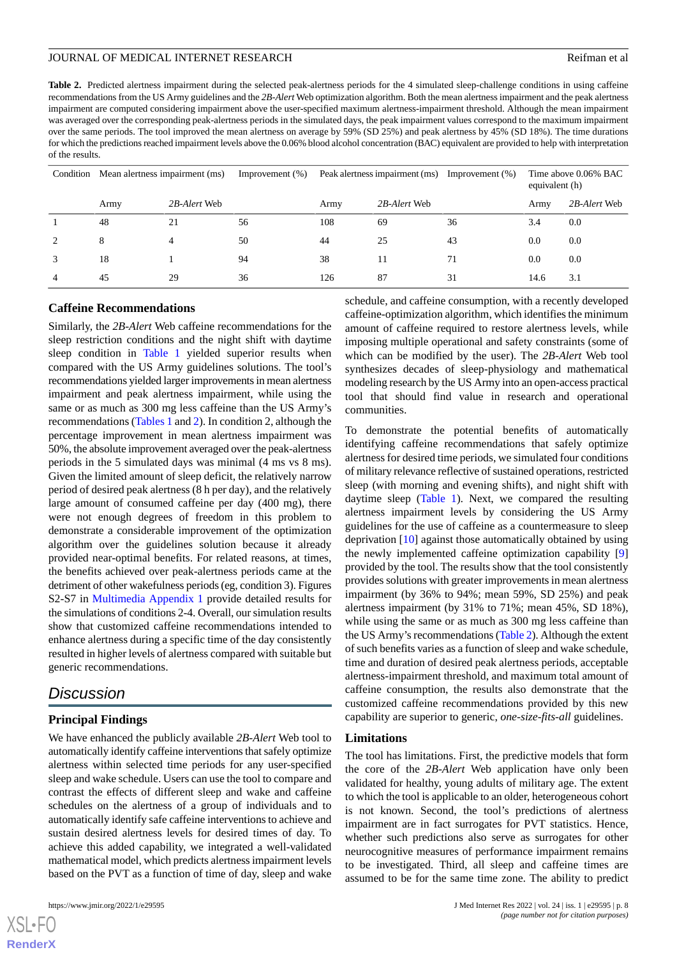<span id="page-7-0"></span>**Table 2.** Predicted alertness impairment during the selected peak-alertness periods for the 4 simulated sleep-challenge conditions in using caffeine recommendations from the US Army guidelines and the *2B-Alert* Web optimization algorithm. Both the mean alertness impairment and the peak alertness impairment are computed considering impairment above the user-specified maximum alertness-impairment threshold. Although the mean impairment was averaged over the corresponding peak-alertness periods in the simulated days, the peak impairment values correspond to the maximum impairment over the same periods. The tool improved the mean alertness on average by 59% (SD 25%) and peak alertness by 45% (SD 18%). The time durations for which the predictions reached impairment levels above the 0.06% blood alcohol concentration (BAC) equivalent are provided to help with interpretation of the results.

| Condition     | Mean alertness impairment (ms) |              | Improvement $(\%)$ | Peak alertness impairment (ms) |              | Improvement $(\%)$ |      | Time above 0.06% BAC<br>equivalent (h) |  |
|---------------|--------------------------------|--------------|--------------------|--------------------------------|--------------|--------------------|------|----------------------------------------|--|
|               | Army                           | 2B-Alert Web |                    | Army                           | 2B-Alert Web |                    | Army | 2B-Alert Web                           |  |
|               | 48                             | 21           | 56                 | 108                            | 69           | 36                 | 3.4  | 0.0                                    |  |
| $\mathcal{L}$ | 8                              | 4            | 50                 | 44                             | 25           | 43                 | 0.0  | 0.0                                    |  |
|               | 18                             |              | 94                 | 38                             | 11           | 71                 | 0.0  | 0.0                                    |  |
|               | 45                             | 29           | 36                 | 126                            | 87           | 31                 | 14.6 | 3.1                                    |  |

#### **Caffeine Recommendations**

Similarly, the *2B-Alert* Web caffeine recommendations for the sleep restriction conditions and the night shift with daytime sleep condition in [Table 1](#page-5-0) yielded superior results when compared with the US Army guidelines solutions. The tool's recommendations yielded larger improvements in mean alertness impairment and peak alertness impairment, while using the same or as much as 300 mg less caffeine than the US Army's recommendations ([Tables 1](#page-5-0) and [2](#page-7-0)). In condition 2, although the percentage improvement in mean alertness impairment was 50%, the absolute improvement averaged over the peak-alertness periods in the 5 simulated days was minimal (4 ms vs 8 ms). Given the limited amount of sleep deficit, the relatively narrow period of desired peak alertness (8 h per day), and the relatively large amount of consumed caffeine per day (400 mg), there were not enough degrees of freedom in this problem to demonstrate a considerable improvement of the optimization algorithm over the guidelines solution because it already provided near-optimal benefits. For related reasons, at times, the benefits achieved over peak-alertness periods came at the detriment of other wakefulness periods (eg, condition 3). Figures S2-S7 in [Multimedia Appendix 1](#page-8-2) provide detailed results for the simulations of conditions 2-4. Overall, our simulation results show that customized caffeine recommendations intended to enhance alertness during a specific time of the day consistently resulted in higher levels of alertness compared with suitable but generic recommendations.

# *Discussion*

#### **Principal Findings**

We have enhanced the publicly available *2B-Alert* Web tool to automatically identify caffeine interventions that safely optimize alertness within selected time periods for any user-specified sleep and wake schedule. Users can use the tool to compare and contrast the effects of different sleep and wake and caffeine schedules on the alertness of a group of individuals and to automatically identify safe caffeine interventions to achieve and sustain desired alertness levels for desired times of day. To achieve this added capability, we integrated a well-validated mathematical model, which predicts alertness impairment levels based on the PVT as a function of time of day, sleep and wake

schedule, and caffeine consumption, with a recently developed caffeine-optimization algorithm, which identifies the minimum amount of caffeine required to restore alertness levels, while imposing multiple operational and safety constraints (some of which can be modified by the user). The *2B-Alert* Web tool synthesizes decades of sleep-physiology and mathematical modeling research by the US Army into an open-access practical tool that should find value in research and operational communities.

To demonstrate the potential benefits of automatically identifying caffeine recommendations that safely optimize alertness for desired time periods, we simulated four conditions of military relevance reflective of sustained operations, restricted sleep (with morning and evening shifts), and night shift with daytime sleep ([Table 1\)](#page-5-0). Next, we compared the resulting alertness impairment levels by considering the US Army guidelines for the use of caffeine as a countermeasure to sleep deprivation [\[10](#page-9-4)] against those automatically obtained by using the newly implemented caffeine optimization capability [\[9](#page-9-2)] provided by the tool. The results show that the tool consistently provides solutions with greater improvements in mean alertness impairment (by 36% to 94%; mean 59%, SD 25%) and peak alertness impairment (by 31% to 71%; mean 45%, SD 18%), while using the same or as much as 300 mg less caffeine than the US Army's recommendations [\(Table 2\)](#page-7-0). Although the extent of such benefits varies as a function of sleep and wake schedule, time and duration of desired peak alertness periods, acceptable alertness-impairment threshold, and maximum total amount of caffeine consumption, the results also demonstrate that the customized caffeine recommendations provided by this new capability are superior to generic, *one-size-fits-all* guidelines.

#### **Limitations**

The tool has limitations. First, the predictive models that form the core of the *2B-Alert* Web application have only been validated for healthy, young adults of military age. The extent to which the tool is applicable to an older, heterogeneous cohort is not known. Second, the tool's predictions of alertness impairment are in fact surrogates for PVT statistics. Hence, whether such predictions also serve as surrogates for other neurocognitive measures of performance impairment remains to be investigated. Third, all sleep and caffeine times are assumed to be for the same time zone. The ability to predict

```
XS • F(
RenderX
```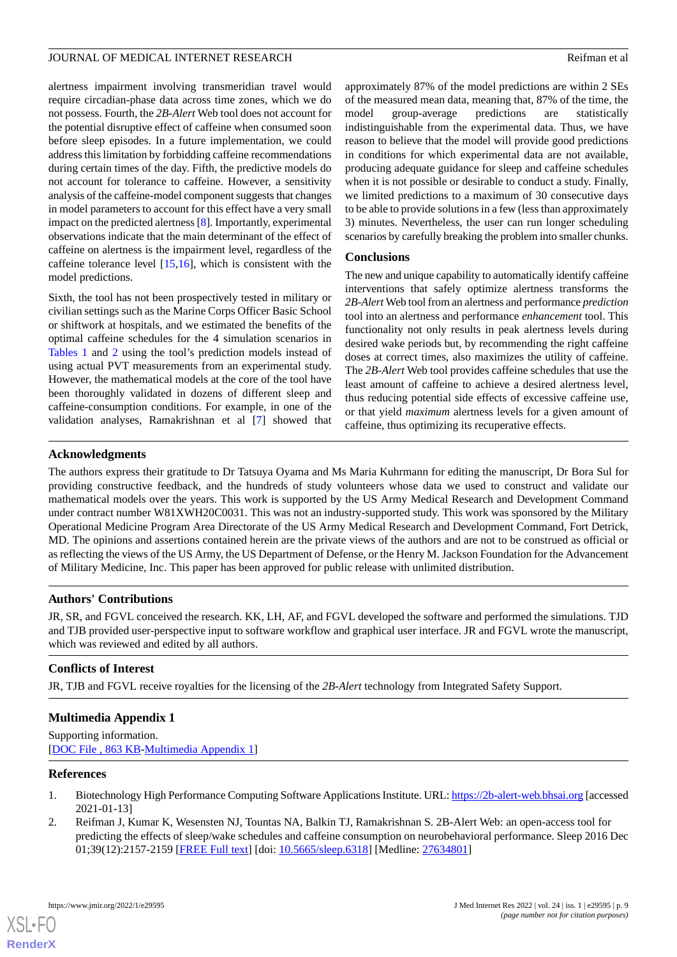alertness impairment involving transmeridian travel would require circadian-phase data across time zones, which we do not possess. Fourth, the *2B-Alert* Web tool does not account for the potential disruptive effect of caffeine when consumed soon before sleep episodes. In a future implementation, we could address this limitation by forbidding caffeine recommendations during certain times of the day. Fifth, the predictive models do not account for tolerance to caffeine. However, a sensitivity analysis of the caffeine-model component suggests that changes in model parameters to account for this effect have a very small impact on the predicted alertness [\[8\]](#page-9-1). Importantly, experimental observations indicate that the main determinant of the effect of caffeine on alertness is the impairment level, regardless of the caffeine tolerance level [\[15](#page-9-10),[16\]](#page-9-11), which is consistent with the model predictions.

Sixth, the tool has not been prospectively tested in military or civilian settings such as the Marine Corps Officer Basic School or shiftwork at hospitals, and we estimated the benefits of the optimal caffeine schedules for the 4 simulation scenarios in [Tables 1](#page-5-0) and [2](#page-7-0) using the tool's prediction models instead of using actual PVT measurements from an experimental study. However, the mathematical models at the core of the tool have been thoroughly validated in dozens of different sleep and caffeine-consumption conditions. For example, in one of the validation analyses, Ramakrishnan et al [[7](#page-9-3)] showed that

approximately 87% of the model predictions are within 2 SEs of the measured mean data, meaning that, 87% of the time, the model group-average predictions are statistically indistinguishable from the experimental data. Thus, we have reason to believe that the model will provide good predictions in conditions for which experimental data are not available, producing adequate guidance for sleep and caffeine schedules when it is not possible or desirable to conduct a study. Finally, we limited predictions to a maximum of 30 consecutive days to be able to provide solutions in a few (less than approximately 3) minutes. Nevertheless, the user can run longer scheduling scenarios by carefully breaking the problem into smaller chunks.

#### **Conclusions**

The new and unique capability to automatically identify caffeine interventions that safely optimize alertness transforms the *2B-Alert* Web tool from an alertness and performance *prediction* tool into an alertness and performance *enhancement* tool. This functionality not only results in peak alertness levels during desired wake periods but, by recommending the right caffeine doses at correct times, also maximizes the utility of caffeine. The *2B-Alert* Web tool provides caffeine schedules that use the least amount of caffeine to achieve a desired alertness level, thus reducing potential side effects of excessive caffeine use, or that yield *maximum* alertness levels for a given amount of caffeine, thus optimizing its recuperative effects.

#### **Acknowledgments**

The authors express their gratitude to Dr Tatsuya Oyama and Ms Maria Kuhrmann for editing the manuscript, Dr Bora Sul for providing constructive feedback, and the hundreds of study volunteers whose data we used to construct and validate our mathematical models over the years. This work is supported by the US Army Medical Research and Development Command under contract number W81XWH20C0031. This was not an industry-supported study. This work was sponsored by the Military Operational Medicine Program Area Directorate of the US Army Medical Research and Development Command, Fort Detrick, MD. The opinions and assertions contained herein are the private views of the authors and are not to be construed as official or as reflecting the views of the US Army, the US Department of Defense, or the Henry M. Jackson Foundation for the Advancement of Military Medicine, Inc. This paper has been approved for public release with unlimited distribution.

#### **Authors' Contributions**

JR, SR, and FGVL conceived the research. KK, LH, AF, and FGVL developed the software and performed the simulations. TJD and TJB provided user-perspective input to software workflow and graphical user interface. JR and FGVL wrote the manuscript, which was reviewed and edited by all authors.

#### <span id="page-8-2"></span>**Conflicts of Interest**

JR, TJB and FGVL receive royalties for the licensing of the *2B-Alert* technology from Integrated Safety Support.

#### <span id="page-8-0"></span>**Multimedia Appendix 1**

<span id="page-8-1"></span>Supporting information. [[DOC File , 863 KB-Multimedia Appendix 1](https://jmir.org/api/download?alt_name=jmir_v24i1e29595_app1.doc&filename=65dd66381a464624335e352de22a2c5f.doc)]

#### **References**

[XSL](http://www.w3.org/Style/XSL)•FO **[RenderX](http://www.renderx.com/)**

- 1. Biotechnology High Performance Computing Software Applications Institute. URL:<https://2b-alert-web.bhsai.org> [accessed 2021-01-13]
- 2. Reifman J, Kumar K, Wesensten NJ, Tountas NA, Balkin TJ, Ramakrishnan S. 2B-Alert Web: an open-access tool for predicting the effects of sleep/wake schedules and caffeine consumption on neurobehavioral performance. Sleep 2016 Dec 01;39(12):2157-2159 [[FREE Full text](http://europepmc.org/abstract/MED/27634801)] [doi: [10.5665/sleep.6318\]](http://dx.doi.org/10.5665/sleep.6318) [Medline: [27634801\]](http://www.ncbi.nlm.nih.gov/entrez/query.fcgi?cmd=Retrieve&db=PubMed&list_uids=27634801&dopt=Abstract)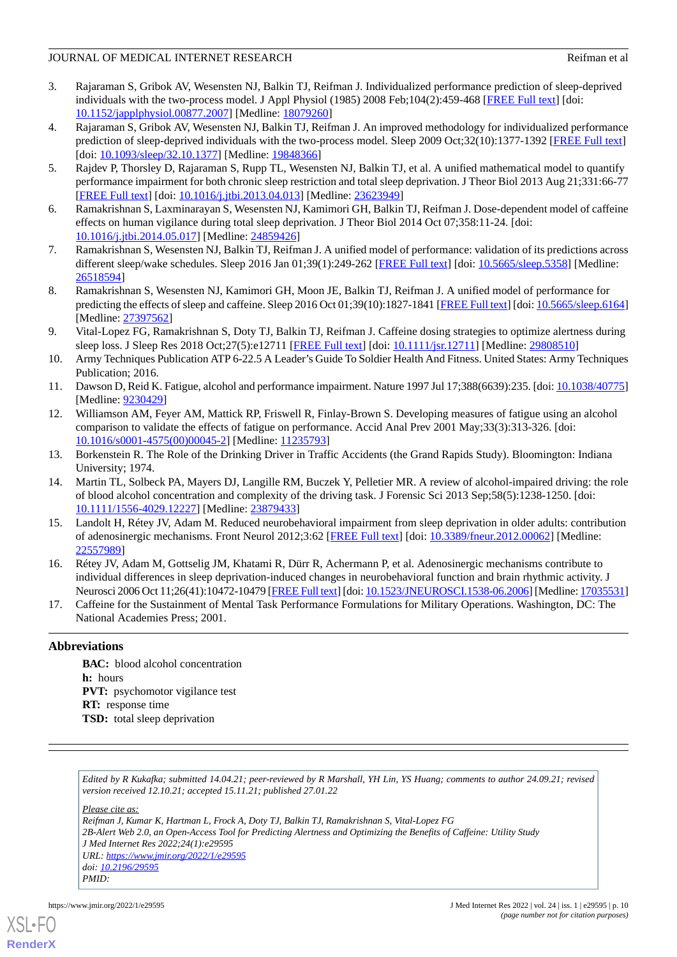#### JOURNAL OF MEDICAL INTERNET RESEARCH **Reference and the set of the set of the set of the set of the set of the set of the set of the set of the set of the set of the set of the set of the set of the set of the set of the s**

- <span id="page-9-0"></span>3. Rajaraman S, Gribok AV, Wesensten NJ, Balkin TJ, Reifman J. Individualized performance prediction of sleep-deprived individuals with the two-process model. J Appl Physiol (1985) 2008 Feb;104(2):459-468 [\[FREE Full text\]](https://journals.physiology.org/doi/10.1152/japplphysiol.00877.2007?url_ver=Z39.88-2003&rfr_id=ori:rid:crossref.org&rfr_dat=cr_pub%3dpubmed) [doi: [10.1152/japplphysiol.00877.2007](http://dx.doi.org/10.1152/japplphysiol.00877.2007)] [Medline: [18079260\]](http://www.ncbi.nlm.nih.gov/entrez/query.fcgi?cmd=Retrieve&db=PubMed&list_uids=18079260&dopt=Abstract)
- 4. Rajaraman S, Gribok AV, Wesensten NJ, Balkin TJ, Reifman J. An improved methodology for individualized performance prediction of sleep-deprived individuals with the two-process model. Sleep 2009 Oct;32(10):1377-1392 [[FREE Full text](http://europepmc.org/abstract/MED/19848366)] [doi: [10.1093/sleep/32.10.1377\]](http://dx.doi.org/10.1093/sleep/32.10.1377) [Medline: [19848366](http://www.ncbi.nlm.nih.gov/entrez/query.fcgi?cmd=Retrieve&db=PubMed&list_uids=19848366&dopt=Abstract)]
- <span id="page-9-9"></span>5. Rajdev P, Thorsley D, Rajaraman S, Rupp TL, Wesensten NJ, Balkin TJ, et al. A unified mathematical model to quantify performance impairment for both chronic sleep restriction and total sleep deprivation. J Theor Biol 2013 Aug 21;331:66-77 [[FREE Full text](https://linkinghub.elsevier.com/retrieve/pii/S0022-5193(13)00181-1)] [doi: [10.1016/j.jtbi.2013.04.013\]](http://dx.doi.org/10.1016/j.jtbi.2013.04.013) [Medline: [23623949\]](http://www.ncbi.nlm.nih.gov/entrez/query.fcgi?cmd=Retrieve&db=PubMed&list_uids=23623949&dopt=Abstract)
- <span id="page-9-3"></span>6. Ramakrishnan S, Laxminarayan S, Wesensten NJ, Kamimori GH, Balkin TJ, Reifman J. Dose-dependent model of caffeine effects on human vigilance during total sleep deprivation. J Theor Biol 2014 Oct 07;358:11-24. [doi: [10.1016/j.jtbi.2014.05.017\]](http://dx.doi.org/10.1016/j.jtbi.2014.05.017) [Medline: [24859426\]](http://www.ncbi.nlm.nih.gov/entrez/query.fcgi?cmd=Retrieve&db=PubMed&list_uids=24859426&dopt=Abstract)
- <span id="page-9-1"></span>7. Ramakrishnan S, Wesensten NJ, Balkin TJ, Reifman J. A unified model of performance: validation of its predictions across different sleep/wake schedules. Sleep 2016 Jan 01;39(1):249-262 [\[FREE Full text\]](http://europepmc.org/abstract/MED/26518594) [doi: [10.5665/sleep.5358](http://dx.doi.org/10.5665/sleep.5358)] [Medline: [26518594](http://www.ncbi.nlm.nih.gov/entrez/query.fcgi?cmd=Retrieve&db=PubMed&list_uids=26518594&dopt=Abstract)]
- <span id="page-9-2"></span>8. Ramakrishnan S, Wesensten NJ, Kamimori GH, Moon JE, Balkin TJ, Reifman J. A unified model of performance for predicting the effects of sleep and caffeine. Sleep 2016 Oct 01;39(10):1827-1841 [\[FREE Full text](http://europepmc.org/abstract/MED/27397562)] [doi: [10.5665/sleep.6164\]](http://dx.doi.org/10.5665/sleep.6164) [Medline: [27397562](http://www.ncbi.nlm.nih.gov/entrez/query.fcgi?cmd=Retrieve&db=PubMed&list_uids=27397562&dopt=Abstract)]
- <span id="page-9-4"></span>9. Vital-Lopez FG, Ramakrishnan S, Doty TJ, Balkin TJ, Reifman J. Caffeine dosing strategies to optimize alertness during sleep loss. J Sleep Res 2018 Oct;27(5):e12711 [\[FREE Full text\]](https://doi.org/10.1111/jsr.12711) [doi: [10.1111/jsr.12711](http://dx.doi.org/10.1111/jsr.12711)] [Medline: [29808510\]](http://www.ncbi.nlm.nih.gov/entrez/query.fcgi?cmd=Retrieve&db=PubMed&list_uids=29808510&dopt=Abstract)
- <span id="page-9-6"></span><span id="page-9-5"></span>10. Army Techniques Publication ATP 6-22.5 A Leader's Guide To Soldier Health And Fitness. United States: Army Techniques Publication; 2016.
- 11. Dawson D, Reid K. Fatigue, alcohol and performance impairment. Nature 1997 Jul 17;388(6639):235. [doi: [10.1038/40775\]](http://dx.doi.org/10.1038/40775) [Medline: [9230429\]](http://www.ncbi.nlm.nih.gov/entrez/query.fcgi?cmd=Retrieve&db=PubMed&list_uids=9230429&dopt=Abstract)
- <span id="page-9-7"></span>12. Williamson AM, Feyer AM, Mattick RP, Friswell R, Finlay-Brown S. Developing measures of fatigue using an alcohol comparison to validate the effects of fatigue on performance. Accid Anal Prev 2001 May;33(3):313-326. [doi: [10.1016/s0001-4575\(00\)00045-2](http://dx.doi.org/10.1016/s0001-4575(00)00045-2)] [Medline: [11235793\]](http://www.ncbi.nlm.nih.gov/entrez/query.fcgi?cmd=Retrieve&db=PubMed&list_uids=11235793&dopt=Abstract)
- <span id="page-9-8"></span>13. Borkenstein R. The Role of the Drinking Driver in Traffic Accidents (the Grand Rapids Study). Bloomington: Indiana University; 1974.
- <span id="page-9-10"></span>14. Martin TL, Solbeck PA, Mayers DJ, Langille RM, Buczek Y, Pelletier MR. A review of alcohol-impaired driving: the role of blood alcohol concentration and complexity of the driving task. J Forensic Sci 2013 Sep;58(5):1238-1250. [doi: [10.1111/1556-4029.12227\]](http://dx.doi.org/10.1111/1556-4029.12227) [Medline: [23879433](http://www.ncbi.nlm.nih.gov/entrez/query.fcgi?cmd=Retrieve&db=PubMed&list_uids=23879433&dopt=Abstract)]
- <span id="page-9-11"></span>15. Landolt H, Rétey JV, Adam M. Reduced neurobehavioral impairment from sleep deprivation in older adults: contribution of adenosinergic mechanisms. Front Neurol 2012;3:62 [\[FREE Full text\]](https://doi.org/10.3389/fneur.2012.00062) [doi: [10.3389/fneur.2012.00062\]](http://dx.doi.org/10.3389/fneur.2012.00062) [Medline: [22557989](http://www.ncbi.nlm.nih.gov/entrez/query.fcgi?cmd=Retrieve&db=PubMed&list_uids=22557989&dopt=Abstract)]
- <span id="page-9-12"></span>16. Rétey JV, Adam M, Gottselig JM, Khatami R, Dürr R, Achermann P, et al. Adenosinergic mechanisms contribute to individual differences in sleep deprivation-induced changes in neurobehavioral function and brain rhythmic activity. J Neurosci 2006 Oct 11;26(41):10472-10479 [[FREE Full text](http://www.jneurosci.org/cgi/pmidlookup?view=long&pmid=17035531)] [doi: [10.1523/JNEUROSCI.1538-06.2006](http://dx.doi.org/10.1523/JNEUROSCI.1538-06.2006)] [Medline: [17035531\]](http://www.ncbi.nlm.nih.gov/entrez/query.fcgi?cmd=Retrieve&db=PubMed&list_uids=17035531&dopt=Abstract)
- 17. Caffeine for the Sustainment of Mental Task Performance Formulations for Military Operations. Washington, DC: The National Academies Press; 2001.

#### **Abbreviations**

**BAC:** blood alcohol concentration **h:** hours **PVT:** psychomotor vigilance test **RT:** response time **TSD:** total sleep deprivation

*Edited by R Kukafka; submitted 14.04.21; peer-reviewed by R Marshall, YH Lin, YS Huang; comments to author 24.09.21; revised version received 12.10.21; accepted 15.11.21; published 27.01.22*

*Please cite as:*

*Reifman J, Kumar K, Hartman L, Frock A, Doty TJ, Balkin TJ, Ramakrishnan S, Vital-Lopez FG 2B-Alert Web 2.0, an Open-Access Tool for Predicting Alertness and Optimizing the Benefits of Caffeine: Utility Study J Med Internet Res 2022;24(1):e29595 URL: <https://www.jmir.org/2022/1/e29595> doi: [10.2196/29595](http://dx.doi.org/10.2196/29595) PMID:*

```
XSL•FO
RenderX
```